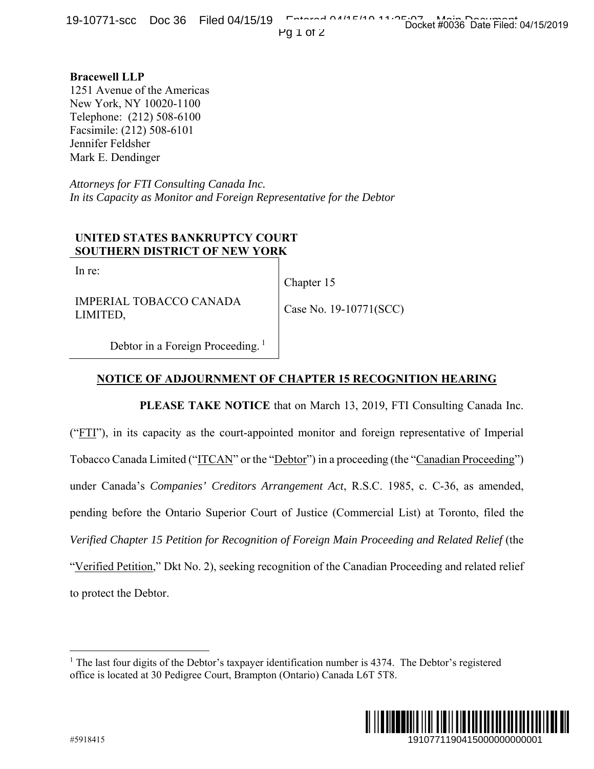**Bracewell LLP**  1251 Avenue of the Americas New York, NY 10020-1100 Telephone: (212) 508-6100 Facsimile: (212) 508-6101 Jennifer Feldsher Mark E. Dendinger

*Attorneys for FTI Consulting Canada Inc. In its Capacity as Monitor and Foreign Representative for the Debtor*

## **UNITED STATES BANKRUPTCY COURT SOUTHERN DISTRICT OF NEW YORK**

In re:

Chapter 15

IMPERIAL TOBACCO CANADA LIMITED,

Case No. 19-10771(SCC)

Debtor in a Foreign Proceeding.<sup>1</sup>

## **NOTICE OF ADJOURNMENT OF CHAPTER 15 RECOGNITION HEARING**

**PLEASE TAKE NOTICE** that on March 13, 2019, FTI Consulting Canada Inc. ("FTI"), in its capacity as the court-appointed monitor and foreign representative of Imperial Tobacco Canada Limited ("ITCAN" or the "Debtor") in a proceeding (the "Canadian Proceeding") under Canada's *Companies' Creditors Arrangement Act*, R.S.C. 1985, c. C-36, as amended, pending before the Ontario Superior Court of Justice (Commercial List) at Toronto, filed the *Verified Chapter 15 Petition for Recognition of Foreign Main Proceeding and Related Relief* (the "Verified Petition," Dkt No. 2), seeking recognition of the Canadian Proceeding and related relief to protect the Debtor. 1910771190415000000000001 Docket #0036 Date Filed: 04/15/2019

<sup>&</sup>lt;sup>1</sup> The last four digits of the Debtor's taxpayer identification number is 4374. The Debtor's registered office is located at 30 Pedigree Court, Brampton (Ontario) Canada L6T 5T8.



 $\overline{a}$